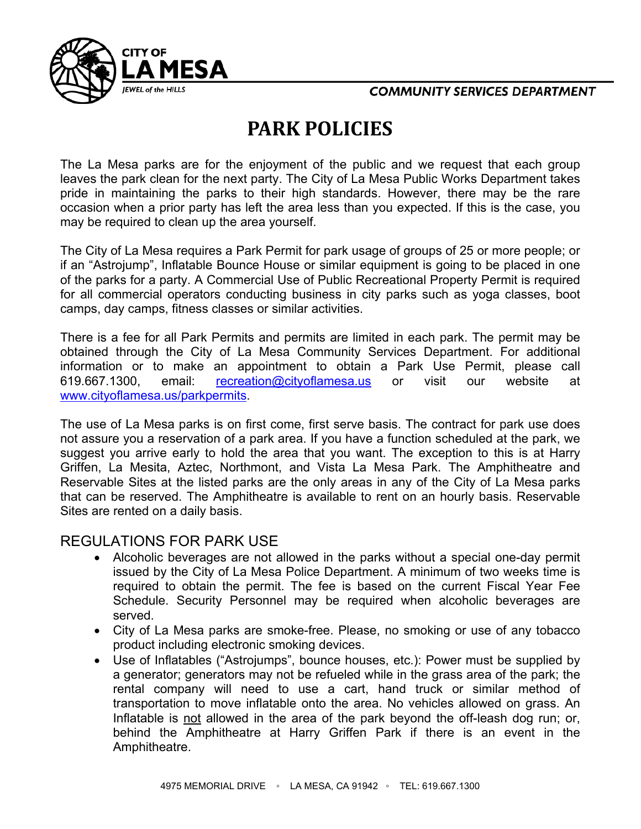

## **COMMUNITY SERVICES DEPARTMENT**

## **PARK POLICIES**

The La Mesa parks are for the enjoyment of the public and we request that each group leaves the park clean for the next party. The City of La Mesa Public Works Department takes pride in maintaining the parks to their high standards. However, there may be the rare occasion when a prior party has left the area less than you expected. If this is the case, you may be required to clean up the area yourself.

The City of La Mesa requires a Park Permit for park usage of groups of 25 or more people; or if an "Astrojump", Inflatable Bounce House or similar equipment is going to be placed in one of the parks for a party. A Commercial Use of Public Recreational Property Permit is required for all commercial operators conducting business in city parks such as yoga classes, boot camps, day camps, fitness classes or similar activities.

There is a fee for all Park Permits and permits are limited in each park. The permit may be obtained through the City of La Mesa Community Services Department. For additional information or to make an appointment to obtain a Park Use Permit, please call 619.667.1300, email: [recreation@cityoflamesa.us](mailto:recreation@cityoflamesa.us) or visit our website at [www.cityoflamesa.us/parkpermits.](http://www.cityoflamesa.us/parkpermits)

The use of La Mesa parks is on first come, first serve basis. The contract for park use does not assure you a reservation of a park area. If you have a function scheduled at the park, we suggest you arrive early to hold the area that you want. The exception to this is at Harry Griffen, La Mesita, Aztec, Northmont, and Vista La Mesa Park. The Amphitheatre and Reservable Sites at the listed parks are the only areas in any of the City of La Mesa parks that can be reserved. The Amphitheatre is available to rent on an hourly basis. Reservable Sites are rented on a daily basis.

## REGULATIONS FOR PARK USE

- Alcoholic beverages are not allowed in the parks without a special one-day permit issued by the City of La Mesa Police Department. A minimum of two weeks time is required to obtain the permit. The fee is based on the current Fiscal Year Fee Schedule. Security Personnel may be required when alcoholic beverages are served.
- City of La Mesa parks are smoke-free. Please, no smoking or use of any tobacco product including electronic smoking devices.
- Use of Inflatables ("Astrojumps", bounce houses, etc.): Power must be supplied by a generator; generators may not be refueled while in the grass area of the park; the rental company will need to use a cart, hand truck or similar method of transportation to move inflatable onto the area. No vehicles allowed on grass. An Inflatable is not allowed in the area of the park beyond the off-leash dog run; or, behind the Amphitheatre at Harry Griffen Park if there is an event in the Amphitheatre.